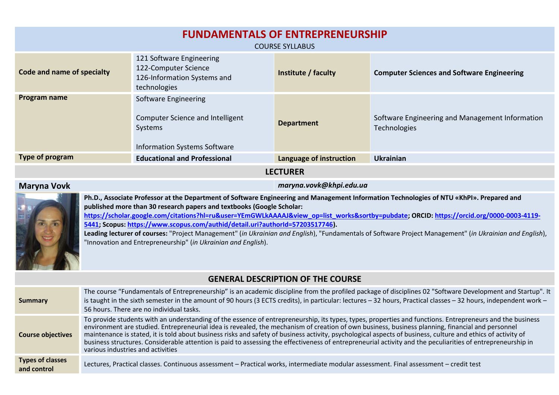| <b>FUNDAMENTALS OF ENTREPRENEURSHIP</b><br><b>COURSE SYLLABUS</b>                                                                                                                                                |                                                                                                            |                         |                                                                 |  |  |  |
|------------------------------------------------------------------------------------------------------------------------------------------------------------------------------------------------------------------|------------------------------------------------------------------------------------------------------------|-------------------------|-----------------------------------------------------------------|--|--|--|
| 121 Software Engineering<br>122-Computer Science<br><b>Code and name of specialty</b><br>Institute / faculty<br><b>Computer Sciences and Software Engineering</b><br>126-Information Systems and<br>technologies |                                                                                                            |                         |                                                                 |  |  |  |
| Program name                                                                                                                                                                                                     | Software Engineering<br>Computer Science and Intelligent<br>Systems<br><b>Information Systems Software</b> | <b>Department</b>       | Software Engineering and Management Information<br>Technologies |  |  |  |
| Type of program                                                                                                                                                                                                  | <b>Educational and Professional</b>                                                                        | Language of instruction | <b>Ukrainian</b>                                                |  |  |  |
| <b>LECTURER</b>                                                                                                                                                                                                  |                                                                                                            |                         |                                                                 |  |  |  |

## **Maryna Vovk** *maryna.vovk@khpi.edu.ua*



**Ph.D., Associate Professor at the Department of Software Engineering and Management Information Technologies of NTU «KhPI». Prepared and published more than 30 research papers and textbooks (Google Scholar: https://scholar.google.com/citations?hl=ru&user=YEmGWLkAAAAJ&view\_op=list\_works&sortby=pubdate; ORCID: [https://orcid.org/0000-0003-4119-](https://orcid.org/0000-0003-4119-5441) [5441;](https://orcid.org/0000-0003-4119-5441) Scopus: [https://www.scopus.com/authid/detail.uri?authorId=57203517746\)](https://www.scopus.com/authid/detail.uri?authorId=57203517746). Leading lecturer of courses:** "Project Management" (*in Ukrainian and English*), "Fundamentals of Software Project Management" (*in Ukrainian and English*),

"Innovation and Entrepreneurship" (*in Ukrainian and English*).

## **GENERAL DESCRIPTION OF THE COURSE**

| Summary                                | The course "Fundamentals of Entrepreneurship" is an academic discipline from the profiled package of disciplines 02 "Software Development and Startup". It<br>is taught in the sixth semester in the amount of 90 hours (3 ECTS credits), in particular: lectures - 32 hours, Practical classes - 32 hours, independent work -<br>56 hours. There are no individual tasks.                                                                                                                                                                                                                                                                                                       |
|----------------------------------------|----------------------------------------------------------------------------------------------------------------------------------------------------------------------------------------------------------------------------------------------------------------------------------------------------------------------------------------------------------------------------------------------------------------------------------------------------------------------------------------------------------------------------------------------------------------------------------------------------------------------------------------------------------------------------------|
| <b>Course objectives</b>               | To provide students with an understanding of the essence of entrepreneurship, its types, types, properties and functions. Entrepreneurs and the business<br>environment are studied. Entrepreneurial idea is revealed, the mechanism of creation of own business, business planning, financial and personnel<br>maintenance is stated, it is told about business risks and safety of business activity, psychological aspects of business, culture and ethics of activity of<br>business structures. Considerable attention is paid to assessing the effectiveness of entrepreneurial activity and the peculiarities of entrepreneurship in<br>various industries and activities |
| <b>Types of classes</b><br>and control | Lectures, Practical classes. Continuous assessment - Practical works, intermediate modular assessment. Final assessment - credit test                                                                                                                                                                                                                                                                                                                                                                                                                                                                                                                                            |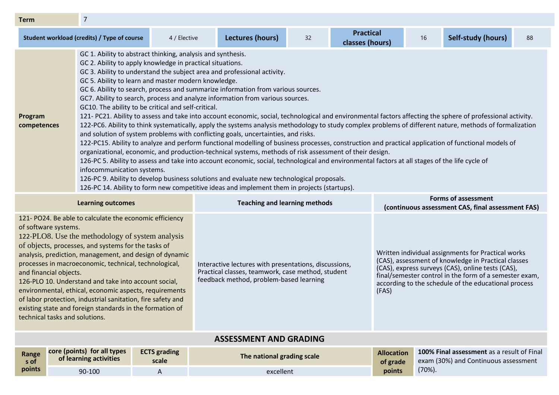| <b>Term</b>            |                                                                                                                                                                                                                                                                                                                                                                                                                                                                                                                                                                                                                                                                                                                                                                                                                                                                                                                  |              |                  |    |                                                                                                                                                                                                                                                                                                                                                                                                                                                                                                                                                                                                                                  |    |                    |    |
|------------------------|------------------------------------------------------------------------------------------------------------------------------------------------------------------------------------------------------------------------------------------------------------------------------------------------------------------------------------------------------------------------------------------------------------------------------------------------------------------------------------------------------------------------------------------------------------------------------------------------------------------------------------------------------------------------------------------------------------------------------------------------------------------------------------------------------------------------------------------------------------------------------------------------------------------|--------------|------------------|----|----------------------------------------------------------------------------------------------------------------------------------------------------------------------------------------------------------------------------------------------------------------------------------------------------------------------------------------------------------------------------------------------------------------------------------------------------------------------------------------------------------------------------------------------------------------------------------------------------------------------------------|----|--------------------|----|
|                        | Student workload (credits) / Type of course                                                                                                                                                                                                                                                                                                                                                                                                                                                                                                                                                                                                                                                                                                                                                                                                                                                                      | 4 / Elective | Lectures (hours) | 32 | <b>Practical</b><br>classes (hours)                                                                                                                                                                                                                                                                                                                                                                                                                                                                                                                                                                                              | 16 | Self-study (hours) | 88 |
| Program<br>competences | GC 1. Ability to abstract thinking, analysis and synthesis.<br>GC 2. Ability to apply knowledge in practical situations.<br>GC 3. Ability to understand the subject area and professional activity.<br>GC 5. Ability to learn and master modern knowledge.<br>GC 6. Ability to search, process and summarize information from various sources.<br>GC7. Ability to search, process and analyze information from various sources.<br>GC10. The ability to be critical and self-critical.<br>and solution of system problems with conflicting goals, uncertainties, and risks.<br>organizational, economic, and production-technical systems, methods of risk assessment of their design.<br>infocommunication systems.<br>126-PC 9. Ability to develop business solutions and evaluate new technological proposals.<br>126-PC 14. Ability to form new competitive ideas and implement them in projects (startups). |              |                  |    | 121- PC21. Ability to assess and take into account economic, social, technological and environmental factors affecting the sphere of professional activity.<br>122-PC6. Ability to think systematically, apply the systems analysis methodology to study complex problems of different nature, methods of formalization<br>122-PC15. Ability to analyze and perform functional modelling of business processes, construction and practical application of functional models of<br>126-PC 5. Ability to assess and take into account economic, social, technological and environmental factors at all stages of the life cycle of |    |                    |    |

| Learning outcomes                                                                                                                                                                                                                                                                                                                                                                                                                                                                                                                                                                                                       |                                                       |                              | <b>Teaching and learning methods</b>                                                                                                                  | <b>Forms of assessment</b><br>(continuous assessment CAS, final assessment FAS) |                                                                                                                                                                                                                                                                                  |  |  |
|-------------------------------------------------------------------------------------------------------------------------------------------------------------------------------------------------------------------------------------------------------------------------------------------------------------------------------------------------------------------------------------------------------------------------------------------------------------------------------------------------------------------------------------------------------------------------------------------------------------------------|-------------------------------------------------------|------------------------------|-------------------------------------------------------------------------------------------------------------------------------------------------------|---------------------------------------------------------------------------------|----------------------------------------------------------------------------------------------------------------------------------------------------------------------------------------------------------------------------------------------------------------------------------|--|--|
| 121- PO24. Be able to calculate the economic efficiency<br>of software systems.<br>122-PLO8. Use the methodology of system analysis<br>of objects, processes, and systems for the tasks of<br>analysis, prediction, management, and design of dynamic<br>processes in macroeconomic, technical, technological,<br>and financial objects.<br>126-PLO 10. Understand and take into account social,<br>environmental, ethical, economic aspects, requirements<br>of labor protection, industrial sanitation, fire safety and<br>existing state and foreign standards in the formation of<br>technical tasks and solutions. |                                                       |                              | Interactive lectures with presentations, discussions,<br>Practical classes, teamwork, case method, student<br>feedback method, problem-based learning | (FAS)                                                                           | Written individual assignments for Practical works<br>(CAS), assessment of knowledge in Practical classes<br>(CAS), express surveys (CAS), online tests (CAS),<br>final/semester control in the form of a semester exam,<br>according to the schedule of the educational process |  |  |
| <b>ASSESSMENT AND GRADING</b>                                                                                                                                                                                                                                                                                                                                                                                                                                                                                                                                                                                           |                                                       |                              |                                                                                                                                                       |                                                                                 |                                                                                                                                                                                                                                                                                  |  |  |
| Range<br>s of                                                                                                                                                                                                                                                                                                                                                                                                                                                                                                                                                                                                           | core (points) for all types<br>of learning activities | <b>ECTS</b> grading<br>scale | The national grading scale                                                                                                                            | <b>Allocation</b><br>of grade                                                   | <b>100% Final assessment</b> as a result of Final<br>exam (30%) and Continuous assessment                                                                                                                                                                                        |  |  |
| points                                                                                                                                                                                                                                                                                                                                                                                                                                                                                                                                                                                                                  | 90-100                                                | A                            | excellent                                                                                                                                             | points                                                                          | $(70\%)$ .                                                                                                                                                                                                                                                                       |  |  |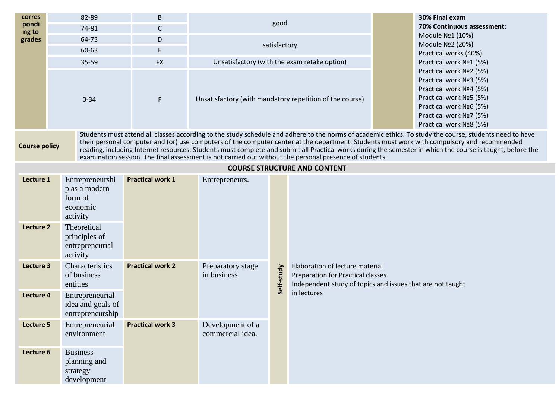| corres<br>pondi<br>ng to<br>grades                                                                                                                                                                                                                                                                                                                                                                                                                                                                                                                                                                      | 82-89<br>74-81<br>64-73<br>60-63<br>35-59<br>$0 - 34$                                                                              | B<br>$\mathsf C$<br>D<br>E.<br><b>FX</b><br>F |                                      | good<br>satisfactory | Unsatisfactory (with the exam retake option)<br>Unsatisfactory (with mandatory repetition of the course)                                          |  | 30% Final exam<br>70% Continuous assessment:<br>Module Nº1 (10%)<br>Module Nº2 (20%)<br>Practical works (40%)<br>Practical work Nº1 (5%)<br>Practical work Nº2 (5%)<br>Practical work Nº3 (5%)<br>Practical work Nº4 (5%)<br>Practical work Nº5 (5%)<br>Practical work Nº6 (5%)<br>Practical work Nº7 (5%)<br>Practical work Nº8 (5%) |
|---------------------------------------------------------------------------------------------------------------------------------------------------------------------------------------------------------------------------------------------------------------------------------------------------------------------------------------------------------------------------------------------------------------------------------------------------------------------------------------------------------------------------------------------------------------------------------------------------------|------------------------------------------------------------------------------------------------------------------------------------|-----------------------------------------------|--------------------------------------|----------------------|---------------------------------------------------------------------------------------------------------------------------------------------------|--|---------------------------------------------------------------------------------------------------------------------------------------------------------------------------------------------------------------------------------------------------------------------------------------------------------------------------------------|
| Students must attend all classes according to the study schedule and adhere to the norms of academic ethics. To study the course, students need to have<br>their personal computer and (or) use computers of the computer center at the department. Students must work with compulsory and recommended<br><b>Course policy</b><br>reading, including Internet resources. Students must complete and submit all Practical works during the semester in which the course is taught, before the<br>examination session. The final assessment is not carried out without the personal presence of students. |                                                                                                                                    |                                               |                                      |                      |                                                                                                                                                   |  |                                                                                                                                                                                                                                                                                                                                       |
|                                                                                                                                                                                                                                                                                                                                                                                                                                                                                                                                                                                                         |                                                                                                                                    |                                               |                                      |                      | <b>COURSE STRUCTURE AND CONTENT</b>                                                                                                               |  |                                                                                                                                                                                                                                                                                                                                       |
| Lecture 1<br>Lecture 2                                                                                                                                                                                                                                                                                                                                                                                                                                                                                                                                                                                  | Entrepreneurshi<br>p as a modern<br>form of<br>economic<br>activity<br>Theoretical<br>principles of<br>entrepreneurial<br>activity | <b>Practical work 1</b>                       | Entrepreneurs.                       |                      |                                                                                                                                                   |  |                                                                                                                                                                                                                                                                                                                                       |
| Lecture 3<br>Lecture 4                                                                                                                                                                                                                                                                                                                                                                                                                                                                                                                                                                                  | Characteristics<br>of business<br>entities<br>Entrepreneurial<br>idea and goals of                                                 | <b>Practical work 2</b>                       | Preparatory stage<br>in business     | Self-study           | Elaboration of lecture material<br>Preparation for Practical classes<br>Independent study of topics and issues that are not taught<br>in lectures |  |                                                                                                                                                                                                                                                                                                                                       |
| Lecture 5<br>Lecture 6                                                                                                                                                                                                                                                                                                                                                                                                                                                                                                                                                                                  | entrepreneurship<br>Entrepreneurial<br>environment<br><b>Business</b>                                                              | <b>Practical work 3</b>                       | Development of a<br>commercial idea. |                      |                                                                                                                                                   |  |                                                                                                                                                                                                                                                                                                                                       |
|                                                                                                                                                                                                                                                                                                                                                                                                                                                                                                                                                                                                         | planning and<br>strategy<br>development                                                                                            |                                               |                                      |                      |                                                                                                                                                   |  |                                                                                                                                                                                                                                                                                                                                       |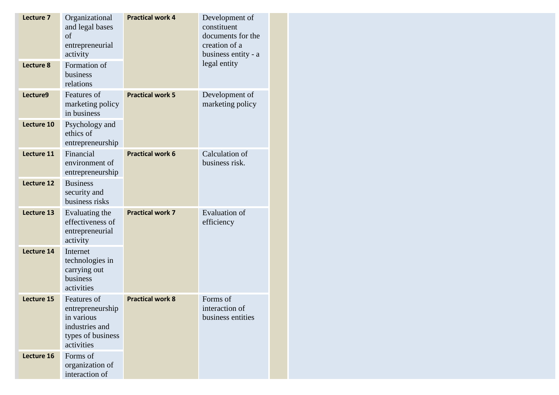| Lecture 7  | Organizational<br>and legal bases<br>of<br>entrepreneurial<br>activity                             | <b>Practical work 4</b> | Development of<br>constituent<br>documents for the<br>creation of a<br>business entity - a |  |  |
|------------|----------------------------------------------------------------------------------------------------|-------------------------|--------------------------------------------------------------------------------------------|--|--|
| Lecture 8  | Formation of<br>business<br>relations                                                              |                         | legal entity                                                                               |  |  |
| Lecture9   | Features of<br>marketing policy<br>in business                                                     | <b>Practical work 5</b> | Development of<br>marketing policy                                                         |  |  |
| Lecture 10 | Psychology and<br>ethics of<br>entrepreneurship                                                    |                         |                                                                                            |  |  |
| Lecture 11 | Financial<br>environment of<br>entrepreneurship                                                    | <b>Practical work 6</b> | Calculation of<br>business risk.                                                           |  |  |
| Lecture 12 | <b>Business</b><br>security and<br>business risks                                                  |                         |                                                                                            |  |  |
| Lecture 13 | Evaluating the<br>effectiveness of<br>entrepreneurial<br>activity                                  | <b>Practical work 7</b> | <b>Evaluation</b> of<br>efficiency                                                         |  |  |
| Lecture 14 | Internet<br>technologies in<br>carrying out<br>business<br>activities                              |                         |                                                                                            |  |  |
| Lecture 15 | Features of<br>entrepreneurship<br>in various<br>industries and<br>types of business<br>activities | <b>Practical work 8</b> | Forms of<br>interaction of<br>business entities                                            |  |  |
| Lecture 16 | Forms of<br>organization of<br>interaction of                                                      |                         |                                                                                            |  |  |